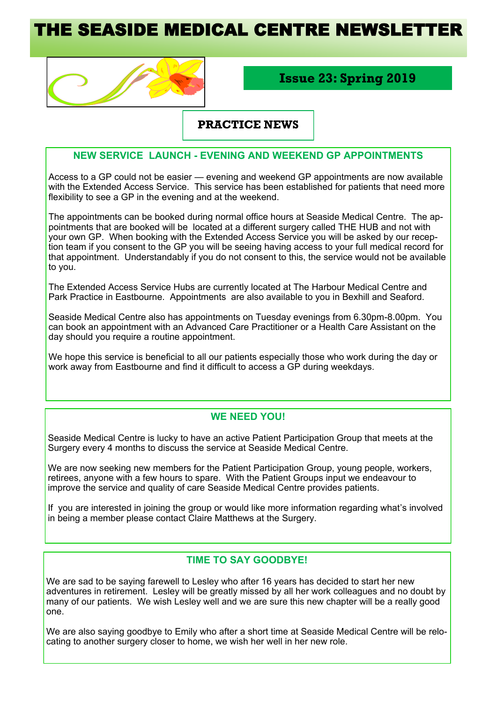# HE SEASIDE MEDICAL CENTRE NEWSLETT



# **Issue 23: Spring 2019**

## **PRACTICE NEWS**

## **NEW SERVICE LAUNCH - EVENING AND WEEKEND GP APPOINTMENTS**

Access to a GP could not be easier — evening and weekend GP appointments are now available with the Extended Access Service. This service has been established for patients that need more flexibility to see a GP in the evening and at the weekend.

The appointments can be booked during normal office hours at Seaside Medical Centre. The appointments that are booked will be located at a different surgery called THE HUB and not with your own GP. When booking with the Extended Access Service you will be asked by our reception team if you consent to the GP you will be seeing having access to your full medical record for that appointment. Understandably if you do not consent to this, the service would not be available to you.

The Extended Access Service Hubs are currently located at The Harbour Medical Centre and Park Practice in Eastbourne. Appointments are also available to you in Bexhill and Seaford.

Seaside Medical Centre also has appointments on Tuesday evenings from 6.30pm-8.00pm. You can book an appointment with an Advanced Care Practitioner or a Health Care Assistant on the day should you require a routine appointment.

We hope this service is beneficial to all our patients especially those who work during the day or work away from Eastbourne and find it difficult to access a GP during weekdays.

#### **WE NEED YOU!**

Seaside Medical Centre is lucky to have an active Patient Participation Group that meets at the Surgery every 4 months to discuss the service at Seaside Medical Centre.

We are now seeking new members for the Patient Participation Group, young people, workers, retirees, anyone with a few hours to spare. With the Patient Groups input we endeavour to improve the service and quality of care Seaside Medical Centre provides patients.

If you are interested in joining the group or would like more information regarding what's involved in being a member please contact Claire Matthews at the Surgery.

## **TIME TO SAY GOODBYE!**

We are sad to be saying farewell to Lesley who after 16 years has decided to start her new adventures in retirement. Lesley will be greatly missed by all her work colleagues and no doubt by many of our patients. We wish Lesley well and we are sure this new chapter will be a really good one.

We are also saying goodbye to Emily who after a short time at Seaside Medical Centre will be relocating to another surgery closer to home, we wish her well in her new role.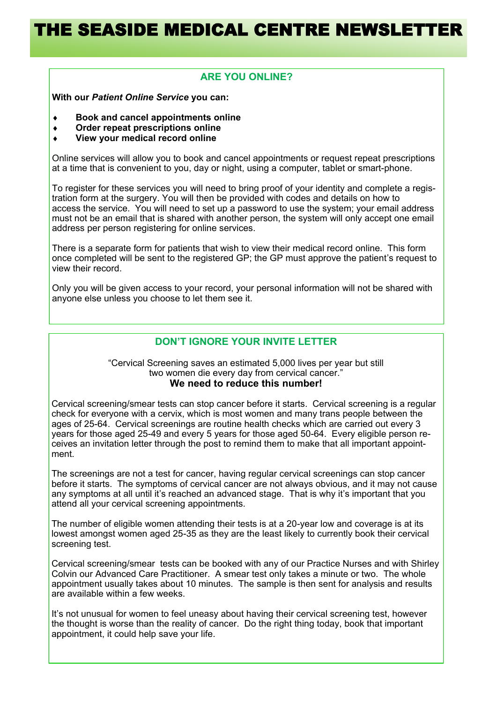# **ARE YOU ONLINE?**

**With our** *Patient Online Service* **you can:**

- **Book and cancel appointments online**
- **Order repeat prescriptions online**
- **View your medical record online**

Online services will allow you to book and cancel appointments or request repeat prescriptions at a time that is convenient to you, day or night, using a computer, tablet or smart-phone.

To register for these services you will need to bring proof of your identity and complete a registration form at the surgery. You will then be provided with codes and details on how to access the service. You will need to set up a password to use the system; your email address must not be an email that is shared with another person, the system will only accept one email address per person registering for online services.

There is a separate form for patients that wish to view their medical record online. This form once completed will be sent to the registered GP; the GP must approve the patient's request to view their record.

Only you will be given access to your record, your personal information will not be shared with anyone else unless you choose to let them see it.

# **DON'T IGNORE YOUR INVITE LETTER**

#### "Cervical Screening saves an estimated 5,000 lives per year but still two women die every day from cervical cancer." **We need to reduce this number!**

Cervical screening/smear tests can stop cancer before it starts. Cervical screening is a regular check for everyone with a cervix, which is most women and many trans people between the ages of 25-64. Cervical screenings are routine health checks which are carried out every 3 years for those aged 25-49 and every 5 years for those aged 50-64. Every eligible person receives an invitation letter through the post to remind them to make that all important appointment.

The screenings are not a test for cancer, having regular cervical screenings can stop cancer before it starts. The symptoms of cervical cancer are not always obvious, and it may not cause any symptoms at all until it's reached an advanced stage. That is why it's important that you attend all your cervical screening appointments.

The number of eligible women attending their tests is at a 20-year low and coverage is at its lowest amongst women aged 25-35 as they are the least likely to currently book their cervical screening test.

Cervical screening/smear tests can be booked with any of our Practice Nurses and with Shirley Colvin our Advanced Care Practitioner. A smear test only takes a minute or two. The whole appointment usually takes about 10 minutes. The sample is then sent for analysis and results are available within a few weeks.

It's not unusual for women to feel uneasy about having their cervical screening test, however the thought is worse than the reality of cancer. Do the right thing today, book that important appointment, it could help save your life.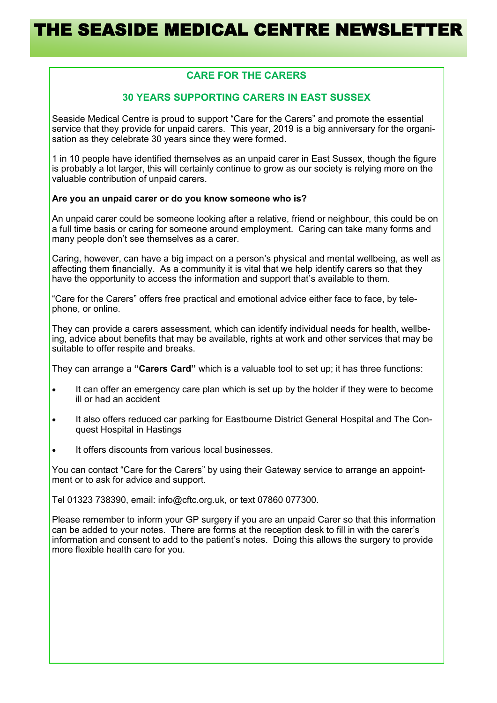# **CARE FOR THE CARERS**

## **30 YEARS SUPPORTING CARERS IN EAST SUSSEX**

Seaside Medical Centre is proud to support "Care for the Carers" and promote the essential service that they provide for unpaid carers. This year, 2019 is a big anniversary for the organisation as they celebrate 30 years since they were formed.

1 in 10 people have identified themselves as an unpaid carer in East Sussex, though the figure is probably a lot larger, this will certainly continue to grow as our society is relying more on the valuable contribution of unpaid carers.

#### **Are you an unpaid carer or do you know someone who is?**

An unpaid carer could be someone looking after a relative, friend or neighbour, this could be on a full time basis or caring for someone around employment. Caring can take many forms and many people don't see themselves as a carer.

Caring, however, can have a big impact on a person's physical and mental wellbeing, as well as affecting them financially. As a community it is vital that we help identify carers so that they have the opportunity to access the information and support that's available to them.

"Care for the Carers" offers free practical and emotional advice either face to face, by telephone, or online.

They can provide a carers assessment, which can identify individual needs for health, wellbeing, advice about benefits that may be available, rights at work and other services that may be suitable to offer respite and breaks.

They can arrange a **"Carers Card"** which is a valuable tool to set up; it has three functions:

- It can offer an emergency care plan which is set up by the holder if they were to become ill or had an accident
- It also offers reduced car parking for Eastbourne District General Hospital and The Conquest Hospital in Hastings
- It offers discounts from various local businesses.

You can contact "Care for the Carers" by using their Gateway service to arrange an appointment or to ask for advice and support.

Tel 01323 738390, email: info@cftc.org.uk, or text 07860 077300.

Please remember to inform your GP surgery if you are an unpaid Carer so that this information can be added to your notes. There are forms at the reception desk to fill in with the carer's information and consent to add to the patient's notes. Doing this allows the surgery to provide more flexible health care for you.